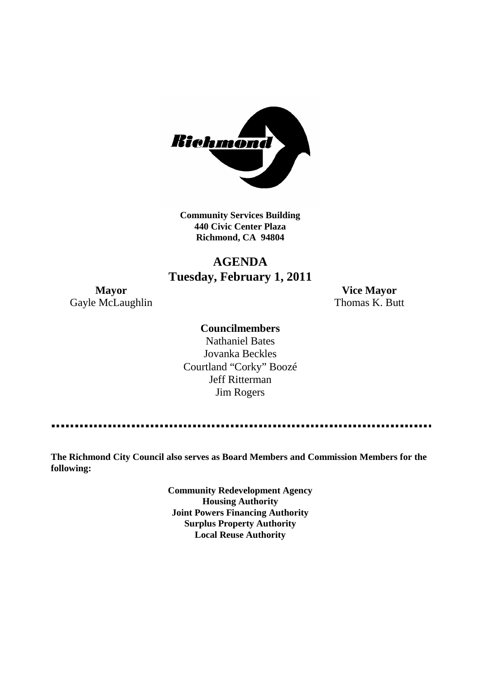

**Community Services Building 440 Civic Center Plaza Richmond, CA 94804**

## **AGENDA Tuesday, February 1, 2011**

Gayle McLaughlin Thomas K. Butt

**Mayor Vice Mayor**

#### **Councilmembers**

Nathaniel Bates Jovanka Beckles Courtland "Corky" Boozé Jeff Ritterman Jim Rogers

**The Richmond City Council also serves as Board Members and Commission Members for the following:**

> **Community Redevelopment Agency Housing Authority Joint Powers Financing Authority Surplus Property Authority Local Reuse Authority**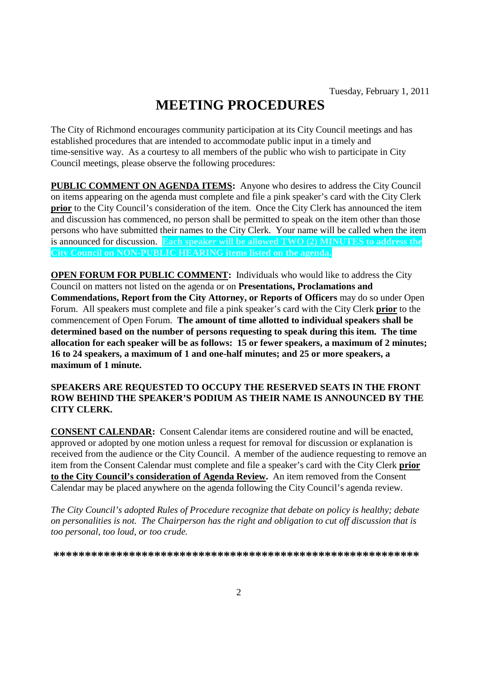# **MEETING PROCEDURES**

The City of Richmond encourages community participation at its City Council meetings and has established procedures that are intended to accommodate public input in a timely and time-sensitive way. As a courtesy to all members of the public who wish to participate in City Council meetings, please observe the following procedures:

**PUBLIC COMMENT ON AGENDA ITEMS:** Anyone who desires to address the City Council on items appearing on the agenda must complete and file a pink speaker's card with the City Clerk **prior** to the City Council's consideration of the item. Once the City Clerk has announced the item and discussion has commenced, no person shall be permitted to speak on the item other than those persons who have submitted their names to the City Clerk. Your name will be called when the item is announced for discussion. **Each speaker will be allowed TWO (2) MINUTES to address the City Council on NON-PUBLIC HEARING items listed on the agenda.**

**OPEN FORUM FOR PUBLIC COMMENT:** Individuals who would like to address the City Council on matters not listed on the agenda or on **Presentations, Proclamations and Commendations, Report from the City Attorney, or Reports of Officers** may do so under Open Forum. All speakers must complete and file a pink speaker's card with the City Clerk **prior** to the commencement of Open Forum. **The amount of time allotted to individual speakers shall be determined based on the number of persons requesting to speak during this item. The time allocation for each speaker will be as follows: 15 or fewer speakers, a maximum of 2 minutes; 16 to 24 speakers, a maximum of 1 and one-half minutes; and 25 or more speakers, a maximum of 1 minute.**

#### **SPEAKERS ARE REQUESTED TO OCCUPY THE RESERVED SEATS IN THE FRONT ROW BEHIND THE SPEAKER'S PODIUM AS THEIR NAME IS ANNOUNCED BY THE CITY CLERK.**

**CONSENT CALENDAR:** Consent Calendar items are considered routine and will be enacted, approved or adopted by one motion unless a request for removal for discussion or explanation is received from the audience or the City Council. A member of the audience requesting to remove an item from the Consent Calendar must complete and file a speaker's card with the City Clerk **prior to the City Council's consideration of Agenda Review.** An item removed from the Consent Calendar may be placed anywhere on the agenda following the City Council's agenda review.

*The City Council's adopted Rules of Procedure recognize that debate on policy is healthy; debate on personalities is not. The Chairperson has the right and obligation to cut off discussion that is too personal, too loud, or too crude.*

**\*\*\*\*\*\*\*\*\*\*\*\*\*\*\*\*\*\*\*\*\*\*\*\*\*\*\*\*\*\*\*\*\*\*\*\*\*\*\*\*\*\*\*\*\*\*\*\*\*\*\*\*\*\*\*\*\*\***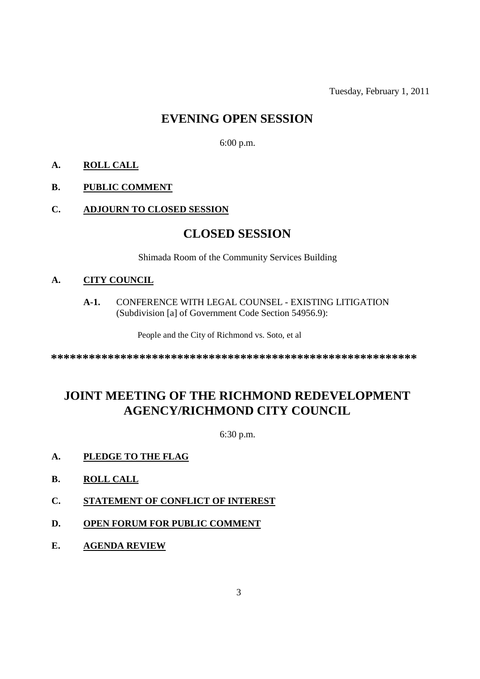Tuesday, February 1, 2011

## **EVENING OPEN SESSION**

6:00 p.m.

#### **A. ROLL CALL**

#### **B. PUBLIC COMMENT**

#### **C. ADJOURN TO CLOSED SESSION**

### **CLOSED SESSION**

Shimada Room of the Community Services Building

#### **A. CITY COUNCIL**

**A-1.** CONFERENCE WITH LEGAL COUNSEL - EXISTING LITIGATION (Subdivision [a] of Government Code Section 54956.9):

People and the City of Richmond vs. Soto, et al

**\*\*\*\*\*\*\*\*\*\*\*\*\*\*\*\*\*\*\*\*\*\*\*\*\*\*\*\*\*\*\*\*\*\*\*\*\*\*\*\*\*\*\*\*\*\*\*\*\*\*\*\*\*\*\*\*\*\***

# **JOINT MEETING OF THE RICHMOND REDEVELOPMENT AGENCY/RICHMOND CITY COUNCIL**

6:30 p.m.

#### **A. PLEDGE TO THE FLAG**

- **B. ROLL CALL**
- **C. STATEMENT OF CONFLICT OF INTEREST**
- **D. OPEN FORUM FOR PUBLIC COMMENT**
- **E. AGENDA REVIEW**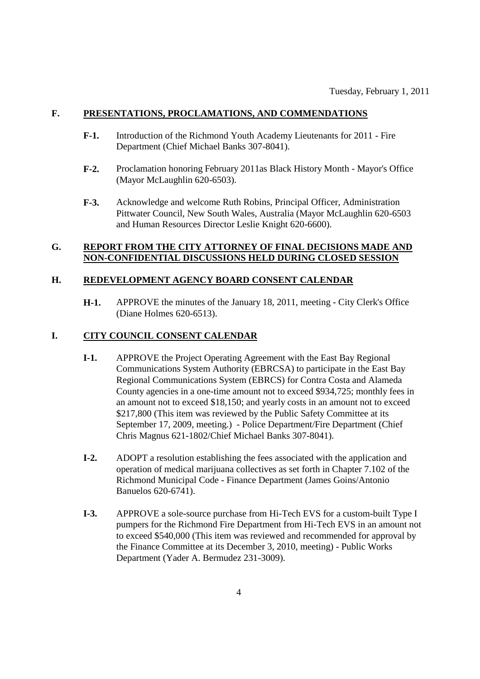#### **F. PRESENTATIONS, PROCLAMATIONS, AND COMMENDATIONS**

- **F-1.** Introduction of the Richmond Youth Academy Lieutenants for 2011 Fire Department (Chief Michael Banks 307-8041).
- **F-2.** Proclamation honoring February 2011as Black History Month Mayor's Office (Mayor McLaughlin 620-6503).
- **F-3.** Acknowledge and welcome Ruth Robins, Principal Officer, Administration Pittwater Council, New South Wales, Australia (Mayor McLaughlin 620-6503 and Human Resources Director Leslie Knight 620-6600).

#### **G. REPORT FROM THE CITY ATTORNEY OF FINAL DECISIONS MADE AND NON-CONFIDENTIAL DISCUSSIONS HELD DURING CLOSED SESSION**

#### **H. REDEVELOPMENT AGENCY BOARD CONSENT CALENDAR**

**H-1.** APPROVE the minutes of the January 18, 2011, meeting - City Clerk's Office (Diane Holmes 620-6513).

#### **I. CITY COUNCIL CONSENT CALENDAR**

- **I-1.** APPROVE the Project Operating Agreement with the East Bay Regional Communications System Authority (EBRCSA) to participate in the East Bay Regional Communications System (EBRCS) for Contra Costa and Alameda County agencies in a one-time amount not to exceed \$934,725; monthly fees in an amount not to exceed \$18,150; and yearly costs in an amount not to exceed \$217,800 (This item was reviewed by the Public Safety Committee at its September 17, 2009, meeting.) - Police Department/Fire Department (Chief Chris Magnus 621-1802/Chief Michael Banks 307-8041).
- **I-2.** ADOPT a resolution establishing the fees associated with the application and operation of medical marijuana collectives as set forth in Chapter 7.102 of the Richmond Municipal Code - Finance Department (James Goins/Antonio Banuelos 620-6741).
- **I-3.** APPROVE a sole-source purchase from Hi-Tech EVS for a custom-built Type I pumpers for the Richmond Fire Department from Hi-Tech EVS in an amount not to exceed \$540,000 (This item was reviewed and recommended for approval by the Finance Committee at its December 3, 2010, meeting) - Public Works Department (Yader A. Bermudez 231-3009).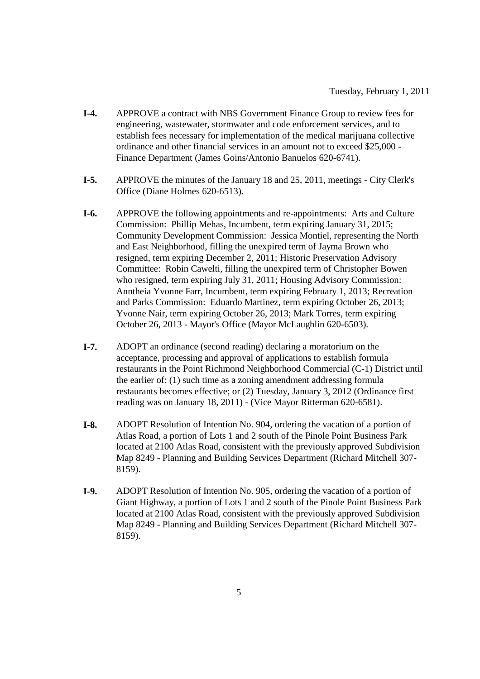- **I-4.** APPROVE a contract with NBS Government Finance Group to review fees for engineering, wastewater, stormwater and code enforcement services, and to establish fees necessary for implementation of the medical marijuana collective ordinance and other financial services in an amount not to exceed \$25,000 - Finance Department (James Goins/Antonio Banuelos 620-6741).
- **I-5.** APPROVE the minutes of the January 18 and 25, 2011, meetings City Clerk's Office (Diane Holmes 620-6513).
- **I-6.** APPROVE the following appointments and re-appointments: Arts and Culture Commission: Phillip Mehas, Incumbent, term expiring January 31, 2015; Community Development Commission: Jessica Montiel, representing the North and East Neighborhood, filling the unexpired term of Jayma Brown who resigned, term expiring December 2, 2011; Historic Preservation Advisory Committee: Robin Cawelti, filling the unexpired term of Christopher Bowen who resigned, term expiring July 31, 2011; Housing Advisory Commission: Anntheia Yvonne Farr, Incumbent, term expiring February 1, 2013; Recreation and Parks Commission: Eduardo Martinez, term expiring October 26, 2013; Yvonne Nair, term expiring October 26, 2013; Mark Torres, term expiring October 26, 2013 - Mayor's Office (Mayor McLaughlin 620-6503).
- **I-7.** ADOPT an ordinance (second reading) declaring a moratorium on the acceptance, processing and approval of applications to establish formula restaurants in the Point Richmond Neighborhood Commercial (C-1) District until the earlier of: (1) such time as a zoning amendment addressing formula restaurants becomes effective; or (2) Tuesday, January 3, 2012 (Ordinance first reading was on January 18, 2011) - (Vice Mayor Ritterman 620-6581).
- **I-8.** ADOPT Resolution of Intention No. 904, ordering the vacation of a portion of Atlas Road, a portion of Lots 1 and 2 south of the Pinole Point Business Park located at 2100 Atlas Road, consistent with the previously approved Subdivision Map 8249 - Planning and Building Services Department (Richard Mitchell 307- 8159).
- **I-9.** ADOPT Resolution of Intention No. 905, ordering the vacation of a portion of Giant Highway, a portion of Lots 1 and 2 south of the Pinole Point Business Park located at 2100 Atlas Road, consistent with the previously approved Subdivision Map 8249 - Planning and Building Services Department (Richard Mitchell 307- 8159).